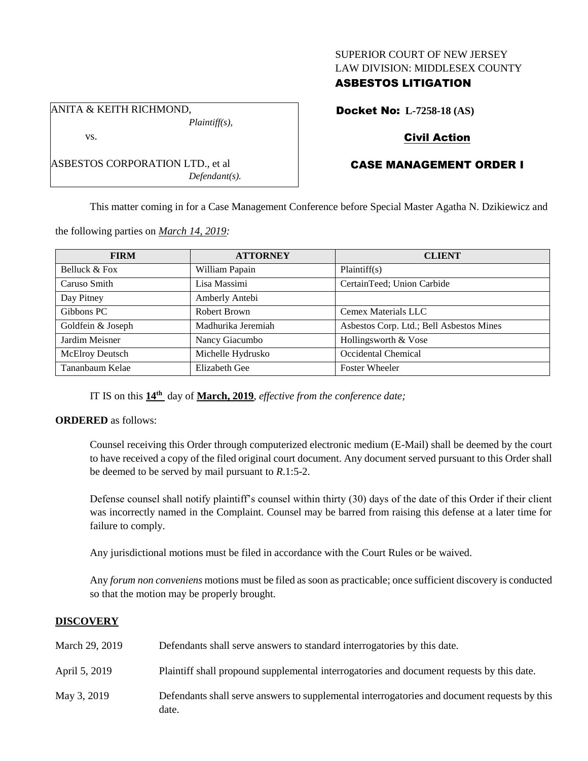### SUPERIOR COURT OF NEW JERSEY LAW DIVISION: MIDDLESEX COUNTY

## ASBESTOS LITIGATION

Docket No: **L-7258-18 (AS)**

# Civil Action

# CASE MANAGEMENT ORDER I

This matter coming in for a Case Management Conference before Special Master Agatha N. Dzikiewicz and

| <b>FIRM</b>            | <b>ATTORNEY</b>    | <b>CLIENT</b>                            |
|------------------------|--------------------|------------------------------------------|
| Belluck & Fox          | William Papain     | Plaintiff(s)                             |
| Caruso Smith           | Lisa Massimi       | CertainTeed; Union Carbide               |
| Day Pitney             | Amberly Antebi     |                                          |
| Gibbons PC             | Robert Brown       | Cemex Materials LLC                      |
| Goldfein & Joseph      | Madhurika Jeremiah | Asbestos Corp. Ltd.; Bell Asbestos Mines |
| Jardim Meisner         | Nancy Giacumbo     | Hollingsworth & Vose                     |
| <b>McElroy Deutsch</b> | Michelle Hydrusko  | Occidental Chemical                      |
| Tananbaum Kelae        | Elizabeth Gee      | <b>Foster Wheeler</b>                    |

the following parties on *March 14, 2019:*

ASBESTOS CORPORATION LTD., et al

*Plaintiff(s),*

*Defendant(s).*

ANITA & KEITH RICHMOND,

vs.

IT IS on this **14th** day of **March, 2019**, *effective from the conference date;*

#### **ORDERED** as follows:

Counsel receiving this Order through computerized electronic medium (E-Mail) shall be deemed by the court to have received a copy of the filed original court document. Any document served pursuant to this Order shall be deemed to be served by mail pursuant to *R*.1:5-2.

Defense counsel shall notify plaintiff's counsel within thirty (30) days of the date of this Order if their client was incorrectly named in the Complaint. Counsel may be barred from raising this defense at a later time for failure to comply.

Any jurisdictional motions must be filed in accordance with the Court Rules or be waived.

Any *forum non conveniens* motions must be filed as soon as practicable; once sufficient discovery is conducted so that the motion may be properly brought.

### **DISCOVERY**

| March 29, 2019 | Defendants shall serve answers to standard interrogatories by this date.                              |
|----------------|-------------------------------------------------------------------------------------------------------|
| April 5, 2019  | Plaintiff shall propound supplemental interrogatories and document requests by this date.             |
| May 3, 2019    | Defendants shall serve answers to supplemental interrogatories and document requests by this<br>date. |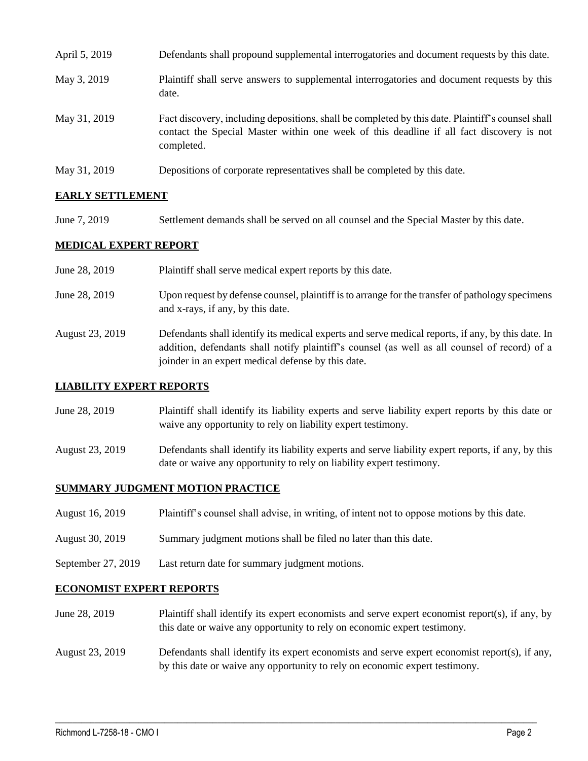| April 5, 2019 | Defendants shall propound supplemental interrogatories and document requests by this date.                                                                                                                  |
|---------------|-------------------------------------------------------------------------------------------------------------------------------------------------------------------------------------------------------------|
| May 3, 2019   | Plaintiff shall serve answers to supplemental interrogatories and document requests by this<br>date.                                                                                                        |
| May 31, 2019  | Fact discovery, including depositions, shall be completed by this date. Plaintiff's counsel shall<br>contact the Special Master within one week of this deadline if all fact discovery is not<br>completed. |
| May 31, 2019  | Depositions of corporate representatives shall be completed by this date.                                                                                                                                   |

### **EARLY SETTLEMENT**

June 7, 2019 Settlement demands shall be served on all counsel and the Special Master by this date.

### **MEDICAL EXPERT REPORT**

| June 28, 2019   | Plaintiff shall serve medical expert reports by this date.                                                                                                                                                                                               |
|-----------------|----------------------------------------------------------------------------------------------------------------------------------------------------------------------------------------------------------------------------------------------------------|
| June 28, 2019   | Upon request by defense counsel, plaintiff is to arrange for the transfer of pathology specimens<br>and x-rays, if any, by this date.                                                                                                                    |
| August 23, 2019 | Defendants shall identify its medical experts and serve medical reports, if any, by this date. In<br>addition, defendants shall notify plaintiff's counsel (as well as all counsel of record) of a<br>joinder in an expert medical defense by this date. |

#### **LIABILITY EXPERT REPORTS**

- June 28, 2019 Plaintiff shall identify its liability experts and serve liability expert reports by this date or waive any opportunity to rely on liability expert testimony.
- August 23, 2019 Defendants shall identify its liability experts and serve liability expert reports, if any, by this date or waive any opportunity to rely on liability expert testimony.

#### **SUMMARY JUDGMENT MOTION PRACTICE**

- August 16, 2019 Plaintiff's counsel shall advise, in writing, of intent not to oppose motions by this date.
- August 30, 2019 Summary judgment motions shall be filed no later than this date.
- September 27, 2019 Last return date for summary judgment motions.

#### **ECONOMIST EXPERT REPORTS**

- June 28, 2019 Plaintiff shall identify its expert economists and serve expert economist report(s), if any, by this date or waive any opportunity to rely on economic expert testimony.
- August 23, 2019 Defendants shall identify its expert economists and serve expert economist report(s), if any, by this date or waive any opportunity to rely on economic expert testimony.

 $\_$  ,  $\_$  ,  $\_$  ,  $\_$  ,  $\_$  ,  $\_$  ,  $\_$  ,  $\_$  ,  $\_$  ,  $\_$  ,  $\_$  ,  $\_$  ,  $\_$  ,  $\_$  ,  $\_$  ,  $\_$  ,  $\_$  ,  $\_$  ,  $\_$  ,  $\_$  ,  $\_$  ,  $\_$  ,  $\_$  ,  $\_$  ,  $\_$  ,  $\_$  ,  $\_$  ,  $\_$  ,  $\_$  ,  $\_$  ,  $\_$  ,  $\_$  ,  $\_$  ,  $\_$  ,  $\_$  ,  $\_$  ,  $\_$  ,